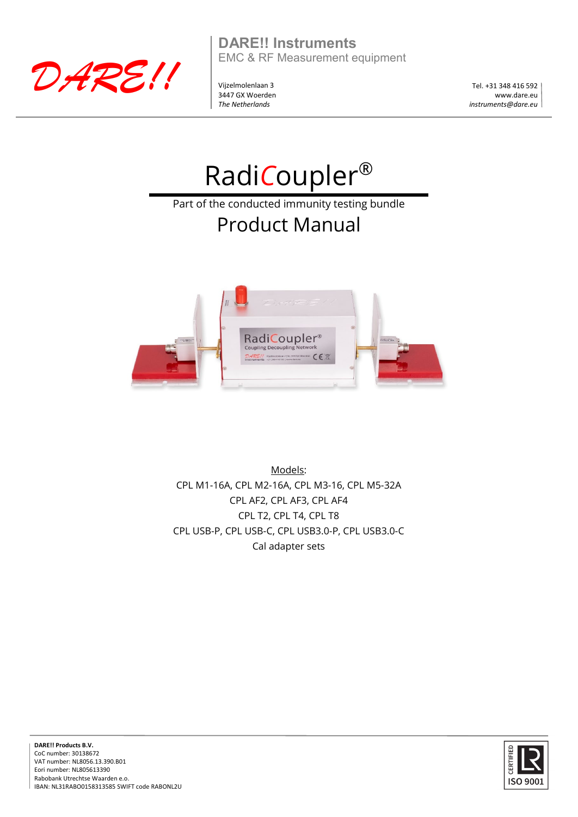

**DARE!! Instruments** EMC & RF Measurement equipment

Vijzelmolenlaan 3 3447 GX Woerden *The Netherlands*

Tel. +31 348 416 592 www.dare.eu *instruments@dare.eu*

# Radi*C*oupler®

Part of the conducted immunity testing bundle

## Product Manual



Models: CPL M1-16A, CPL M2-16A, CPL M3-16, CPL M5-32A CPL AF2, CPL AF3, CPL AF4 CPL T2, CPL T4, CPL T8 CPL USB-P, CPL USB-C, CPL USB3.0-P, CPL USB3.0-C Cal adapter sets



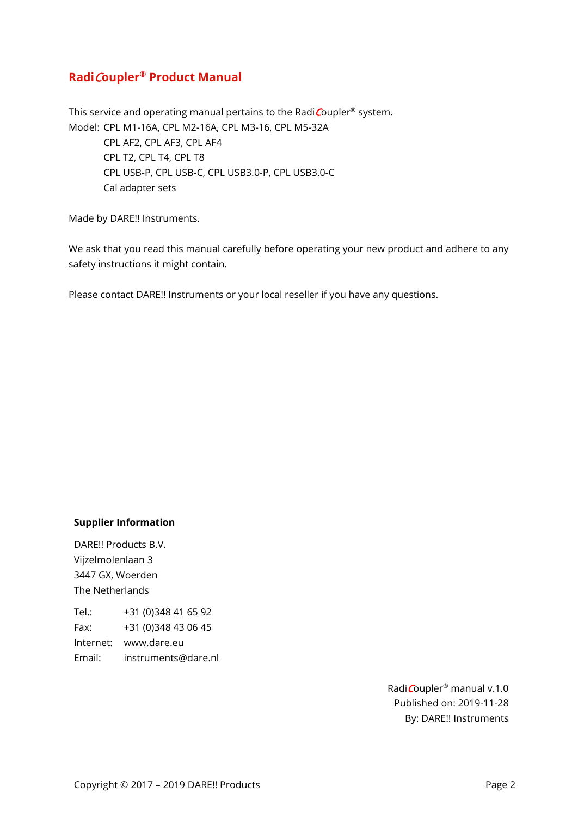#### **Radi**C**oupler® Product Manual**

This service and operating manual pertains to the Radi $C$ oupler® system. Model: CPL M1-16A, CPL M2-16A, CPL M3-16, CPL M5-32A CPL AF2, CPL AF3, CPL AF4 CPL T2, CPL T4, CPL T8 CPL USB-P, CPL USB-C, CPL USB3.0-P, CPL USB3.0-C Cal adapter sets

Made by DARE!! Instruments.

We ask that you read this manual carefully before operating your new product and adhere to any safety instructions it might contain.

Please contact DARE!! Instruments or your local reseller if you have any questions.

#### **Supplier Information**

DARE!! Products B.V. Vijzelmolenlaan 3 3447 GX, Woerden The Netherlands

Tel.: +31 (0)348 41 65 92 Fax: +31 (0)348 43 06 45 Internet: www.dare.eu Email: instruments@dare.nl

> RadiCoupler® manual v.1.0 Published on: 2019-11-28 By: DARE!! Instruments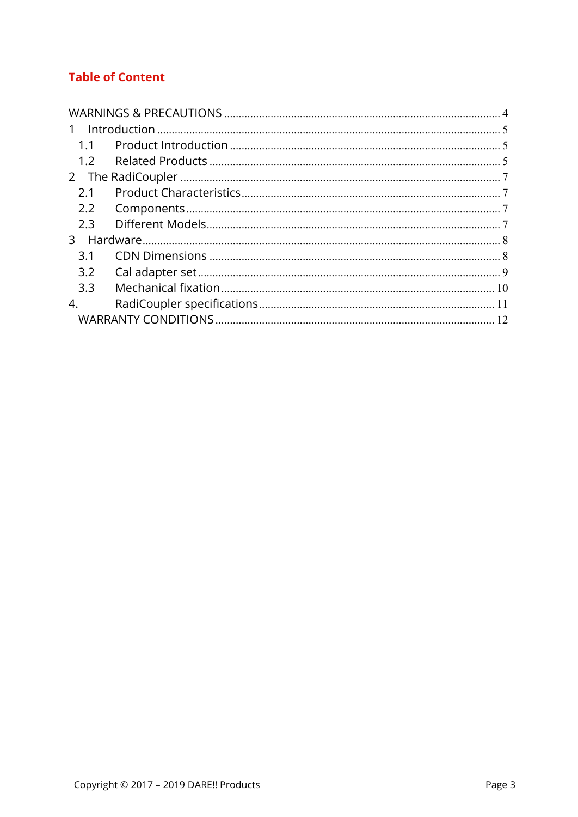### **Table of Content**

| $\mathbf{1}$ |  |  |  |  |
|--------------|--|--|--|--|
| 1.1          |  |  |  |  |
| 1.2          |  |  |  |  |
| 2            |  |  |  |  |
| 2.1          |  |  |  |  |
| 2.2          |  |  |  |  |
| 2.3          |  |  |  |  |
| 3            |  |  |  |  |
| 3.1          |  |  |  |  |
| 3.2          |  |  |  |  |
| 3.3          |  |  |  |  |
| 4.           |  |  |  |  |
|              |  |  |  |  |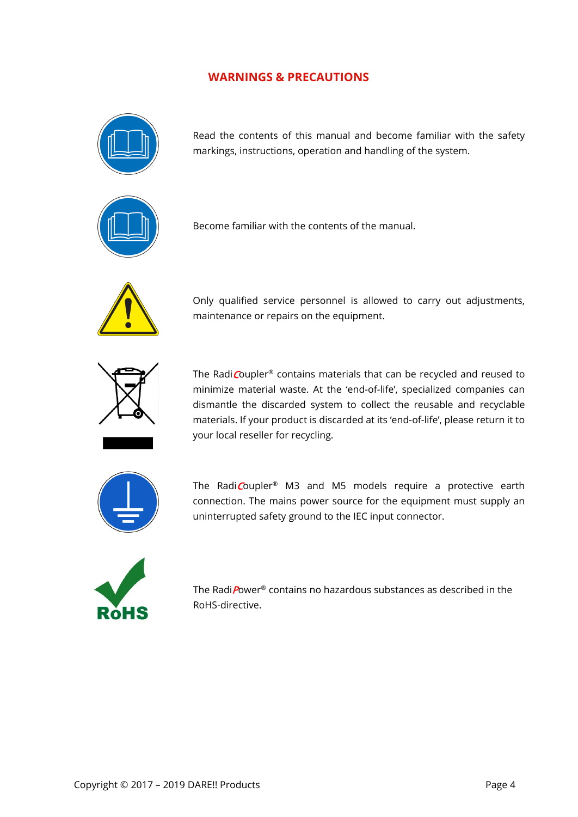#### **WARNINGS & PRECAUTIONS**

<span id="page-3-0"></span>

Read the contents of this manual and become familiar with the safety markings, instructions, operation and handling of the system.



Become familiar with the contents of the manual.



Only qualified service personnel is allowed to carry out adjustments, maintenance or repairs on the equipment.



The Radi Coupler<sup>®</sup> contains materials that can be recycled and reused to minimize material waste. At the 'end-of-life', specialized companies can dismantle the discarded system to collect the reusable and recyclable materials. If your product is discarded at its 'end-of-life', please return it to your local reseller for recycling.



The RadiCoupler<sup>®</sup> M3 and M5 models require a protective earth connection. The mains power source for the equipment must supply an uninterrupted safety ground to the IEC input connector.



 The RadiPower® contains no hazardous substances as described in the RoHS-directive.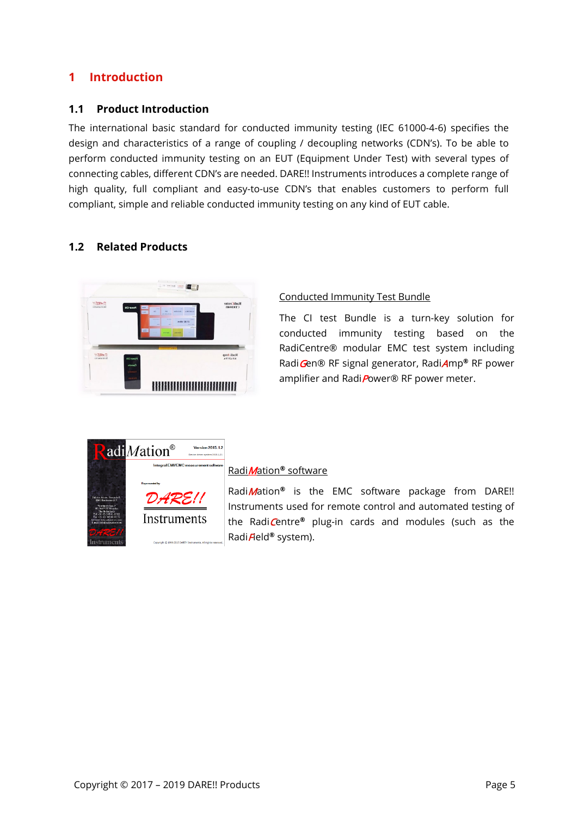#### <span id="page-4-0"></span>**1 Introduction**

#### <span id="page-4-1"></span>**1.1 Product Introduction**

The international basic standard for conducted immunity testing (IEC 61000-4-6) specifies the design and characteristics of a range of coupling / decoupling networks (CDN's). To be able to perform conducted immunity testing on an EUT (Equipment Under Test) with several types of connecting cables, different CDN's are needed. DARE!! Instruments introduces a complete range of high quality, full compliant and easy-to-use CDN's that enables customers to perform full compliant, simple and reliable conducted immunity testing on any kind of EUT cable.

#### <span id="page-4-2"></span>**1.2 Related Products**



#### Conducted Immunity Test Bundle

The CI test Bundle is a turn-key solution for conducted immunity testing based on the RadiCentre® modular EMC test system including RadiGen® RF signal generator, RadiAmp**®** RF power amplifier and RadiPower® RF power meter.



#### RadiMation**®** software

RadiMation**®** is the EMC software package from DARE!! Instruments used for remote control and automated testing of the RadiCentre**®** plug-in cards and modules (such as the RadiField**®** system).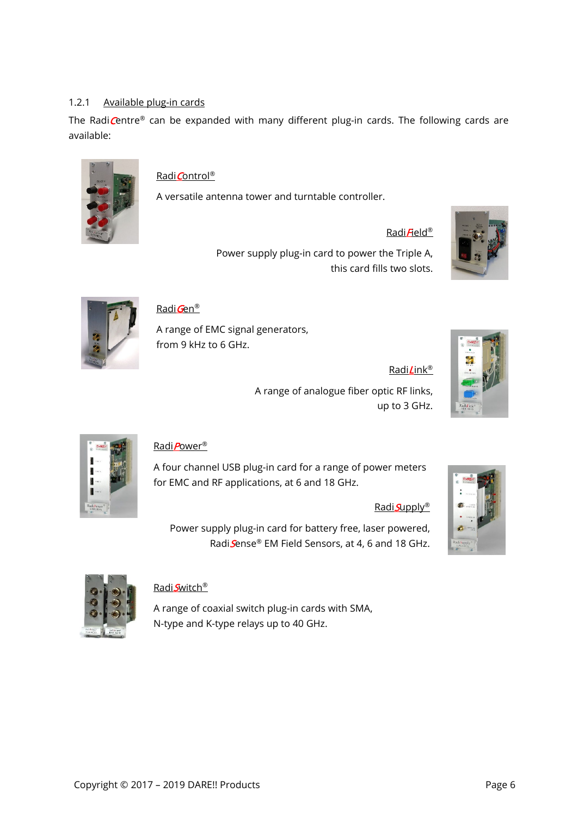#### 1.2.1 Available plug-in cards

The Radi $C$ entre® can be expanded with many different plug-in cards. The following cards are available:



#### Radi Control<sup>®</sup>

A versatile antenna tower and turntable controller.

#### $Radi$  $H$ eld®

Radi**L**ink®

Power supply plug-in card to power the Triple A, this card fills two slots.





#### Radi Gen<sup>®</sup>

A range of EMC signal generators, from 9 kHz to 6 GHz.

A range of analogue fiber optic RF links, up to 3 GHz.



#### RadiPower®

A four channel USB plug-in card for a range of power meters for EMC and RF applications, at 6 and 18 GHz.

#### Radi**Supply®**

Power supply plug-in card for battery free, laser powered, RadiSense® EM Field Sensors, at 4, 6 and 18 GHz.





#### Radi**S**witch®

A range of coaxial switch plug-in cards with SMA, N-type and K-type relays up to 40 GHz.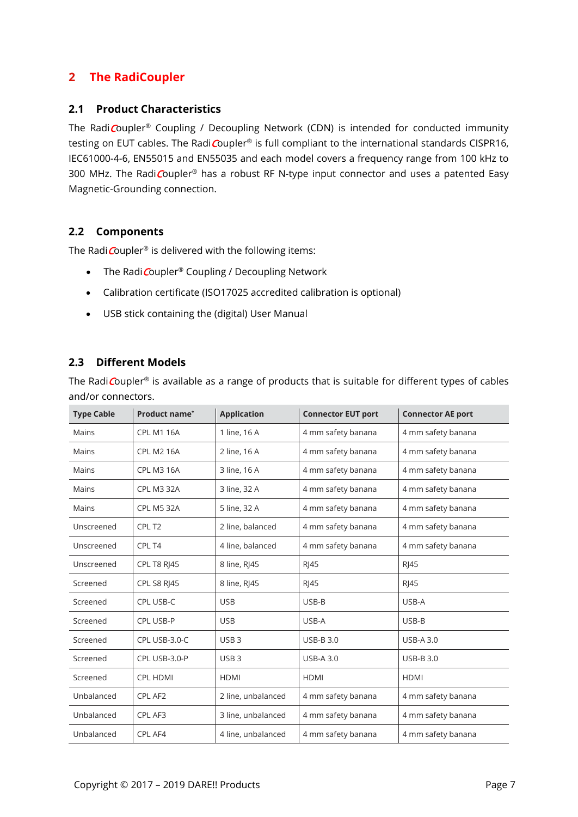#### <span id="page-6-0"></span>**2 The RadiCoupler**

#### <span id="page-6-1"></span>**2.1 Product Characteristics**

The RadiCoupler® Coupling / Decoupling Network (CDN) is intended for conducted immunity testing on EUT cables. The RadiCoupler® is full compliant to the international standards CISPR16, IEC61000-4-6, EN55015 and EN55035 and each model covers a frequency range from 100 kHz to 300 MHz. The RadiCoupler® has a robust RF N-type input connector and uses a patented Easy Magnetic-Grounding connection.

#### <span id="page-6-2"></span>**2.2 Components**

The Radi $\text{Coupler}^{\circledast}$  is delivered with the following items:

- The Radi Coupler<sup>®</sup> Coupling / Decoupling Network
- Calibration certificate (ISO17025 accredited calibration is optional)
- USB stick containing the (digital) User Manual

#### <span id="page-6-3"></span>**2.3 Different Models**

The Radi Coupler<sup>®</sup> is available as a range of products that is suitable for different types of cables and/or connectors.

| <b>Type Cable</b> | Product name*      | <b>Application</b> | <b>Connector EUT port</b> | <b>Connector AE port</b> |
|-------------------|--------------------|--------------------|---------------------------|--------------------------|
| Mains             | <b>CPL M1 16A</b>  | 1 line, 16 A       | 4 mm safety banana        | 4 mm safety banana       |
| Mains             | <b>CPL M2 16A</b>  | 2 line, 16 A       | 4 mm safety banana        | 4 mm safety banana       |
| Mains             | <b>CPL M3 16A</b>  | 3 line, 16 A       | 4 mm safety banana        | 4 mm safety banana       |
| Mains             | <b>CPL M3 32A</b>  | 3 line, 32 A       | 4 mm safety banana        | 4 mm safety banana       |
| Mains             | <b>CPL M5 32A</b>  | 5 line, 32 A       | 4 mm safety banana        | 4 mm safety banana       |
| Unscreened        | CPL T <sub>2</sub> | 2 line, balanced   | 4 mm safety banana        | 4 mm safety banana       |
| Unscreened        | CPL T4             | 4 line, balanced   | 4 mm safety banana        | 4 mm safety banana       |
| Unscreened        | <b>CPL T8 RI45</b> | 8 line, RJ45       | <b>RI45</b>               | $R$   45                 |
| Screened          | <b>CPL S8 RI45</b> | 8 line, RJ45       | <b>RI45</b>               | <b>RI45</b>              |
| Screened          | CPL USB-C          | <b>USB</b>         | USB-B                     | USB-A                    |
| Screened          | CPL USB-P          | <b>USB</b>         | USB-A                     | USB-B                    |
| Screened          | CPL USB-3.0-C      | USB <sub>3</sub>   | <b>USB-B3.0</b>           | <b>USB-A 3.0</b>         |
| Screened          | CPL USB-3.0-P      | USB <sub>3</sub>   | <b>USB-A 3.0</b>          | <b>USB-B3.0</b>          |
| Screened          | <b>CPL HDMI</b>    | <b>HDMI</b>        | <b>HDMI</b>               | <b>HDMI</b>              |
| Unbalanced        | CPL AF2            | 2 line, unbalanced | 4 mm safety banana        | 4 mm safety banana       |
| Unbalanced        | CPL AF3            | 3 line, unbalanced | 4 mm safety banana        | 4 mm safety banana       |
| Unbalanced        | CPL AF4            | 4 line, unbalanced | 4 mm safety banana        | 4 mm safety banana       |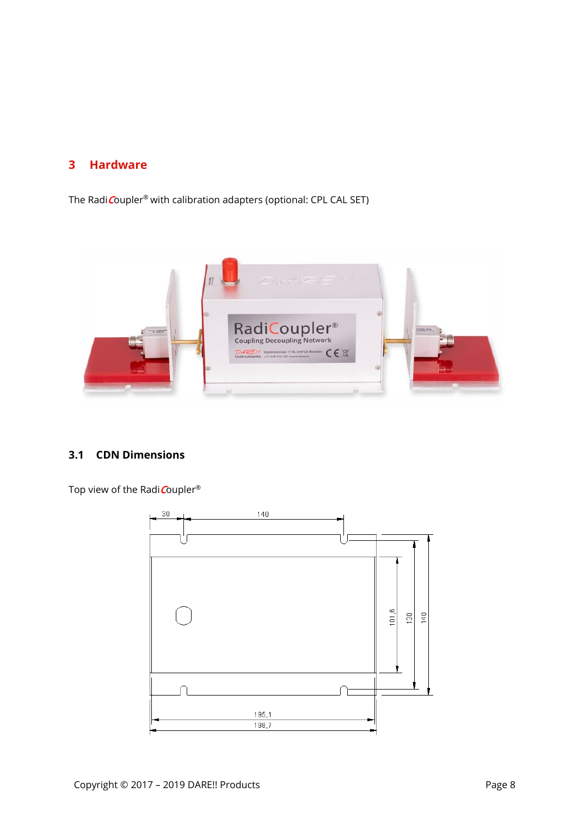#### <span id="page-7-0"></span>**3 Hardware**

The Radi Coupler<sup>®</sup> with calibration adapters (optional: CPL CAL SET)



#### <span id="page-7-1"></span>**3.1 CDN Dimensions**

Top view of the Radi Coupler®

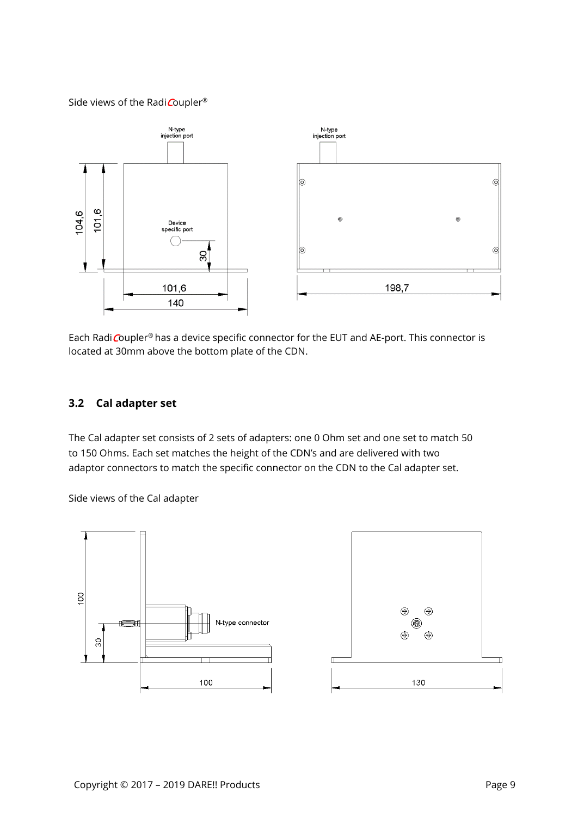#### Side views of the Radi Coupler®



Each Radi Coupler® has a device specific connector for the EUT and AE-port. This connector is located at 30mm above the bottom plate of the CDN.

#### <span id="page-8-0"></span>**3.2 Cal adapter set**

The Cal adapter set consists of 2 sets of adapters: one 0 Ohm set and one set to match 50 to 150 Ohms. Each set matches the height of the CDN's and are delivered with two adaptor connectors to match the specific connector on the CDN to the Cal adapter set.

Side views of the Cal adapter



Π

 $\bigcirc$ 

()  $\bigoplus$ 

130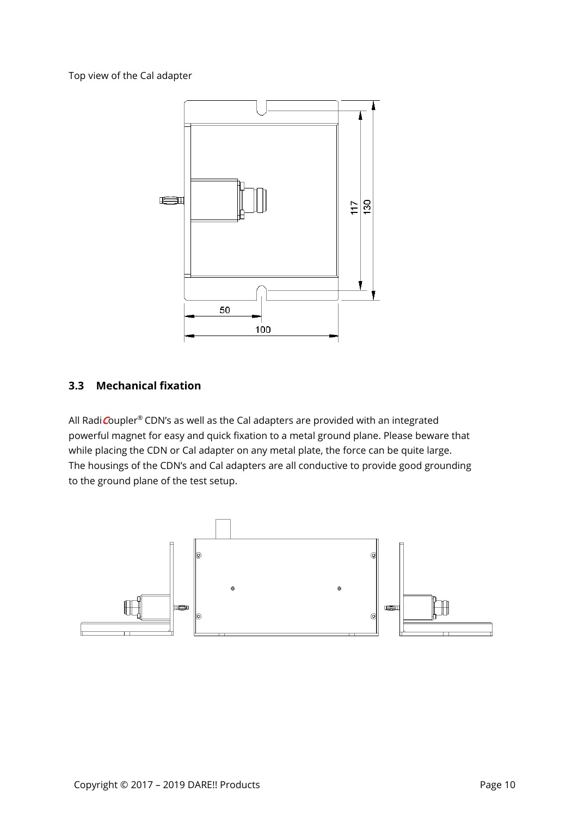Top view of the Cal adapter



#### <span id="page-9-0"></span>**3.3 Mechanical fixation**

All Radi Coupler® CDN's as well as the Cal adapters are provided with an integrated powerful magnet for easy and quick fixation to a metal ground plane. Please beware that while placing the CDN or Cal adapter on any metal plate, the force can be quite large. The housings of the CDN's and Cal adapters are all conductive to provide good grounding to the ground plane of the test setup.

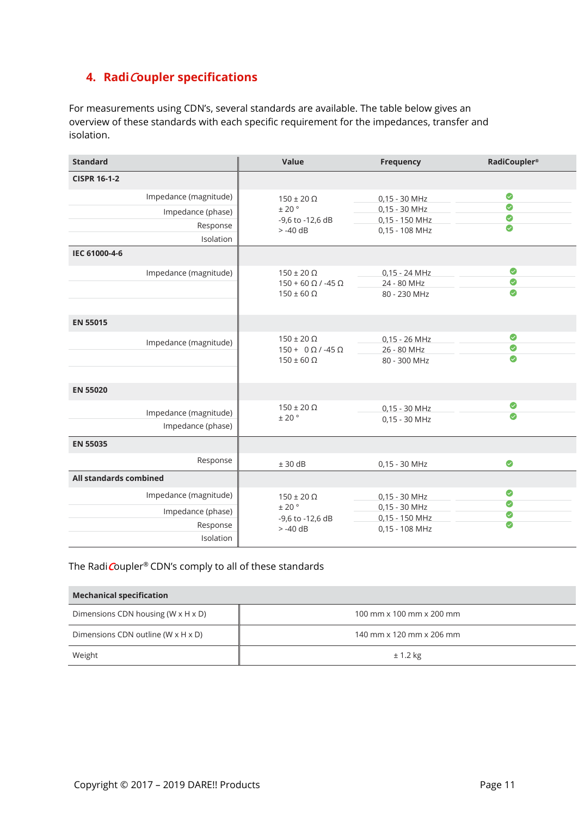#### <span id="page-10-0"></span>**4. Radi**C**oupler specifications**

For measurements using CDN's, several standards are available. The table below gives an overview of these standards with each specific requirement for the impedances, transfer and isolation.

| <b>Standard</b>                                        | Value                                                                        | Frequency                                          | <b>RadiCoupler®</b>         |
|--------------------------------------------------------|------------------------------------------------------------------------------|----------------------------------------------------|-----------------------------|
| <b>CISPR 16-1-2</b>                                    |                                                                              |                                                    |                             |
| Impedance (magnitude)<br>Impedance (phase)<br>Response | $150 \pm 20 \Omega$<br>$\pm$ 20 $^{\circ}$<br>-9,6 to -12,6 dB               | 0,15 - 30 MHz<br>$0,15 - 30$ MHz<br>0,15 - 150 MHz | $\bullet$<br>$\bullet$<br>◙ |
| Isolation                                              | $> -40$ dB                                                                   | 0,15 - 108 MHz                                     | $\bullet$                   |
| IEC 61000-4-6                                          |                                                                              |                                                    |                             |
| Impedance (magnitude)                                  | $150 \pm 20 \Omega$<br>$150 + 60 \Omega / -45 \Omega$<br>$150 \pm 60 \Omega$ | $0.15 - 24 MHz$<br>24 - 80 MHz<br>80 - 230 MHz     | Ø<br>◎<br>$\bullet$         |
| <b>EN 55015</b>                                        |                                                                              |                                                    |                             |
| Impedance (magnitude)                                  | $150 \pm 20 \Omega$<br>$150 + 0 \Omega / -45 \Omega$<br>$150 \pm 60 \Omega$  | $0,15 - 26$ MHz<br>26 - 80 MHz<br>80 - 300 MHz     | ●<br>$\bullet$<br>$\bullet$ |
| <b>EN 55020</b>                                        |                                                                              |                                                    |                             |
| Impedance (magnitude)<br>Impedance (phase)             | $150 \pm 20 \Omega$<br>± 20°                                                 | $0.15 - 30$ MHz<br>0,15 - 30 MHz                   | ●<br>Ø                      |
| <b>EN 55035</b>                                        |                                                                              |                                                    |                             |
| Response                                               | $± 30$ dB                                                                    | 0,15 - 30 MHz                                      | $\bullet$                   |
| All standards combined                                 |                                                                              |                                                    |                             |
| Impedance (magnitude)                                  | $150 \pm 20 \Omega$                                                          | 0,15 - 30 MHz                                      | ◎<br>$\bullet$              |
| Impedance (phase)<br>Response<br>Isolation             | ± 20°<br>-9,6 to -12,6 dB<br>$> -40$ dB                                      | 0,15 - 30 MHz<br>0,15 - 150 MHz<br>0,15 - 108 MHz  | $\bullet$<br>$\bullet$      |

#### The Radi Coupler® CDN's comply to all of these standards

| <b>Mechanical specification</b>                  |                                        |  |  |  |
|--------------------------------------------------|----------------------------------------|--|--|--|
| Dimensions CDN housing ( $W \times H \times D$ ) | 100 mm $\times$ 100 mm $\times$ 200 mm |  |  |  |
| Dimensions CDN outline ( $W \times H \times D$ ) | 140 mm x 120 mm x 206 mm               |  |  |  |
| Weight                                           | $± 1.2$ kg                             |  |  |  |